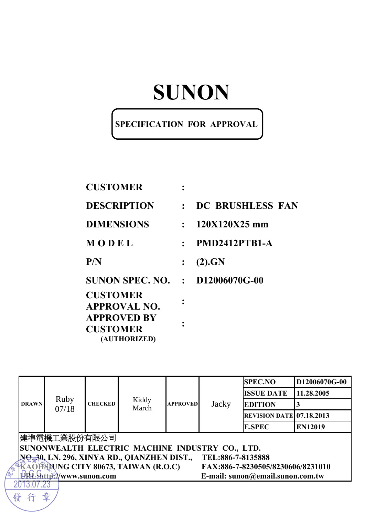# **SUNON**

### **SPECIFICATION FOR APPROVAL**

| <b>CUSTOMER</b>                                       |           |                   |
|-------------------------------------------------------|-----------|-------------------|
| <b>DESCRIPTION</b>                                    | $\cdot$ . | DC BRUSHLESS FAN  |
| <b>DIMENSIONS</b>                                     |           | $: 120X120X25$ mm |
| MODEL                                                 | $\bullet$ | PMD2412PTB1-A     |
| P/N                                                   |           | (2).GN            |
| <b>SUNON SPEC. NO. : D12006070G-00</b>                |           |                   |
| <b>CUSTOMER</b><br><b>APPROVAL NO.</b>                |           |                   |
| <b>APPROVED BY</b><br><b>CUSTOMER</b><br>(AUTHORIZED) |           |                   |

|              |                                                                 |                |                                                 |                 |       | <b>SPEC.NO</b>                    | D12006070G-00  |  |
|--------------|-----------------------------------------------------------------|----------------|-------------------------------------------------|-----------------|-------|-----------------------------------|----------------|--|
| <b>DRAWN</b> |                                                                 |                |                                                 |                 |       | <b>ISSUE DATE</b>                 | 11.28.2005     |  |
|              | Ruby<br>07/18                                                   | <b>CHECKED</b> | Kiddy<br>March                                  | <b>APPROVED</b> | Jacky | <b>EDITION</b>                    | 3              |  |
|              |                                                                 |                |                                                 |                 |       | <b>REVISION DATE 07.18.2013</b>   |                |  |
|              |                                                                 |                |                                                 |                 |       | <b>E.SPEC</b>                     | <b>EN12019</b> |  |
|              | 建準電機工業股份有限公司                                                    |                |                                                 |                 |       |                                   |                |  |
|              |                                                                 |                | SUNONWEALTH ELECTRIC MACHINE INDUSTRY CO., LTD. |                 |       |                                   |                |  |
|              | NO 30, LN. 296, XINYA RD., QIANZHEN DIST.,<br>TEL:886-7-8135888 |                |                                                 |                 |       |                                   |                |  |
|              |                                                                 |                | AOHSAUNG CITY 80673, TAIWAN (R.O.C)             |                 |       | FAX:886-7-8230505/8230606/8231010 |                |  |
|              | E-mail: sunon@email.sunon.com.tw<br>http://www.sunon.com        |                |                                                 |                 |       |                                   |                |  |
|              |                                                                 |                |                                                 |                 |       |                                   |                |  |
| 發            | 章                                                               |                |                                                 |                 |       |                                   |                |  |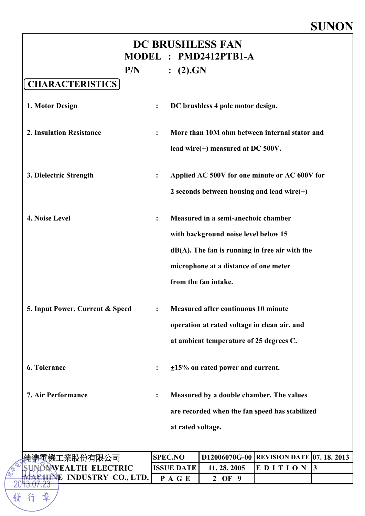### **SUNON**

| <b>DC BRUSHLESS FAN</b><br>MODEL : PMD2412PTB1-A |                      |                   |                                               |                                                   |  |  |
|--------------------------------------------------|----------------------|-------------------|-----------------------------------------------|---------------------------------------------------|--|--|
| P/N<br><b>CHARACTERISTICS</b>                    |                      | (2).GN            |                                               |                                                   |  |  |
| 1. Motor Design                                  |                      |                   | DC brushless 4 pole motor design.             |                                                   |  |  |
| <b>2. Insulation Resistance</b>                  | $\ddot{\phantom{a}}$ |                   |                                               | More than 10M ohm between internal stator and     |  |  |
|                                                  |                      |                   | lead wire(+) measured at DC $500V$ .          |                                                   |  |  |
| 3. Dielectric Strength                           | $\ddot{\cdot}$       |                   |                                               | Applied AC 500V for one minute or AC 600V for     |  |  |
|                                                  |                      |                   | 2 seconds between housing and lead wire $(+)$ |                                                   |  |  |
| 4. Noise Level                                   | $\ddot{\cdot}$       |                   | Measured in a semi-anechoic chamber           |                                                   |  |  |
|                                                  |                      |                   | with background noise level below 15          |                                                   |  |  |
|                                                  |                      |                   |                                               | $dB(A)$ . The fan is running in free air with the |  |  |
|                                                  |                      |                   | microphone at a distance of one meter         |                                                   |  |  |
|                                                  |                      |                   | from the fan intake.                          |                                                   |  |  |
| 5. Input Power, Current & Speed                  |                      |                   | <b>Measured after continuous 10 minute</b>    |                                                   |  |  |
|                                                  |                      |                   | operation at rated voltage in clean air, and  |                                                   |  |  |
|                                                  |                      |                   | at ambient temperature of 25 degrees C.       |                                                   |  |  |
| <b>6. Tolerance</b>                              |                      |                   | $±15\%$ on rated power and current.           |                                                   |  |  |
| <b>7. Air Performance</b>                        | $\ddot{\cdot}$       |                   | Measured by a double chamber. The values      |                                                   |  |  |
|                                                  |                      |                   |                                               | are recorded when the fan speed has stabilized    |  |  |
|                                                  |                      | at rated voltage. |                                               |                                                   |  |  |
| 電機工業股份有限公司                                       |                      | <b>SPEC.NO</b>    |                                               | <b>D12006070G-00 REVISION DATE 07. 18. 2013</b>   |  |  |
|                                                  |                      | <b>ISSUE DATE</b> | 11.28.2005                                    | EDITION<br>$\vert$ 3                              |  |  |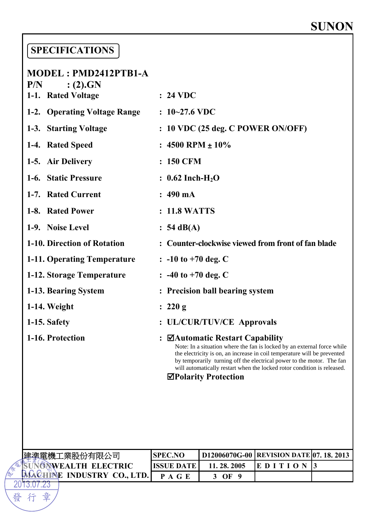### **SPECIFICATIONS**

章

行

發

| MODEL: PMD2412PTB1-A                |                                                                                                                                                                                                                                                                                                                                                            |
|-------------------------------------|------------------------------------------------------------------------------------------------------------------------------------------------------------------------------------------------------------------------------------------------------------------------------------------------------------------------------------------------------------|
| P/N<br>(2).GN<br>1-1. Rated Voltage | $: 24 \text{ VDC}$                                                                                                                                                                                                                                                                                                                                         |
| 1-2. Operating Voltage Range        | $: 10 - 27.6$ VDC                                                                                                                                                                                                                                                                                                                                          |
| 1-3. Starting Voltage               | : 10 VDC (25 deg. C POWER ON/OFF)                                                                                                                                                                                                                                                                                                                          |
| 1-4. Rated Speed                    | : $4500$ RPM $\pm 10\%$                                                                                                                                                                                                                                                                                                                                    |
| 1-5. Air Delivery                   | : 150 CFM                                                                                                                                                                                                                                                                                                                                                  |
| 1-6. Static Pressure                | : $0.62$ Inch-H <sub>2</sub> O                                                                                                                                                                                                                                                                                                                             |
| 1-7. Rated Current                  | $: 490 \text{ mA}$                                                                                                                                                                                                                                                                                                                                         |
| 1-8. Rated Power                    | : 11.8 WATTS                                                                                                                                                                                                                                                                                                                                               |
| 1-9. Noise Level                    | $: 54 \text{ dB}(A)$                                                                                                                                                                                                                                                                                                                                       |
| 1-10. Direction of Rotation         | : Counter-clockwise viewed from front of fan blade                                                                                                                                                                                                                                                                                                         |
| 1-11. Operating Temperature         | $: -10$ to $+70$ deg. C                                                                                                                                                                                                                                                                                                                                    |
| 1-12. Storage Temperature           | $\therefore$ -40 to +70 deg. C                                                                                                                                                                                                                                                                                                                             |
| 1-13. Bearing System                | <b>Precision ball bearing system</b>                                                                                                                                                                                                                                                                                                                       |
| 1-14. Weight                        | : 220 g                                                                                                                                                                                                                                                                                                                                                    |
| 1-15. Safety                        | <b>UL/CUR/TUV/CE Approvals</b>                                                                                                                                                                                                                                                                                                                             |
| 1-16. Protection                    | ⊠Automatic Restart Capability<br>$\ddot{\cdot}$<br>Note: In a situation where the fan is locked by an external force while<br>the electricity is on, an increase in coil temperature will be prevented<br>by temporarily turning off the electrical power to the motor. The fan<br>will automatically restart when the locked rotor condition is released. |

 **Polarity Protection**

| 準電機工業股份有限公司                       | <b>SPEC.NO</b> |            | D12006070G-00   REVISION DATE 07. 18. 2013 |  |  |
|-----------------------------------|----------------|------------|--------------------------------------------|--|--|
| <b>ENVEALTH ELECTRIC</b>          | IISSUE DATE    | 11.28.2005 |                                            |  |  |
| <b>MACHINE INDUSTRY CO., LTD.</b> |                | OF         |                                            |  |  |
|                                   |                |            |                                            |  |  |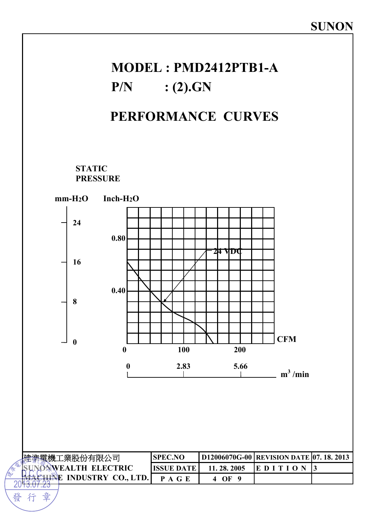# **MODEL : PMD2412PTB1-A P/N : (2).GN**

## **PERFORMANCE CURVES**

**STATIC PRESSURE** 



行

20

發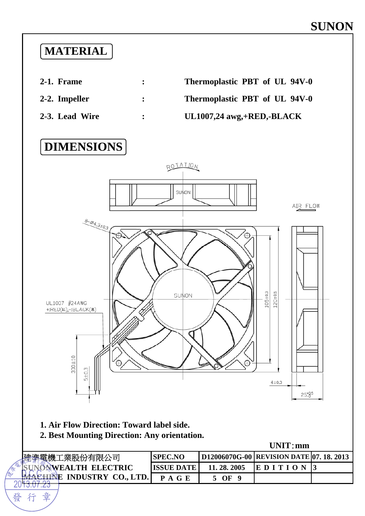### **MATERIAL**

- 
- 
- 



# **DIMENSIONS**



- **1. Air Flow Direction: Toward label side.**
- **2. Best Mounting Direction: Any orientation.**

**UNIT**:**mm**

| ℡黽機工業股份有限公司                                   | <b>ISPEC.NO</b>    |            | D12006070G-00 REVISION DATE 07. 18. 2013 |  |
|-----------------------------------------------|--------------------|------------|------------------------------------------|--|
| <b>EXWEALTH ELECTRIC</b>                      | <b>IISSUE DATE</b> | 11.28.2005 | IE D I T                                 |  |
| <b>INDUSTRY CO., LTD.</b><br><b>EMA CHINE</b> |                    | ОF         |                                          |  |
|                                               |                    |            |                                          |  |

發

章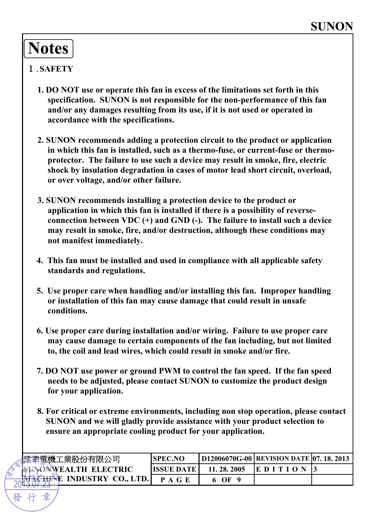# **Notes**

#### Ⅰ.**SAFETY**

- **1. DO NOT use or operate this fan in excess of the limitations set forth in this specification. SUNON is not responsible for the non-performance of this fan and/or any damages resulting from its use, if it is not used or operated in accordance with the specifications.**
- **2. SUNON recommends adding a protection circuit to the product or application in which this fan is installed, such as a thermo-fuse, or current-fuse or thermoprotector. The failure to use such a device may result in smoke, fire, electric shock by insulation degradation in cases of motor lead short circuit, overload, or over voltage, and/or other failure.**
- **3. SUNON recommends installing a protection device to the product or application in which this fan is installed if there is a possibility of reverseconnection between VDC (+) and GND (-). The failure to install such a device may result in smoke, fire, and/or destruction, although these conditions may not manifest immediately.**
- **4. This fan must be installed and used in compliance with all applicable safety standards and regulations.**
- **5. Use proper care when handling and/or installing this fan. Improper handling or installation of this fan may cause damage that could result in unsafe conditions.**
- **6. Use proper care during installation and/or wiring. Failure to use proper care may cause damage to certain components of the fan including, but not limited to, the coil and lead wires, which could result in smoke and/or fire.**
- **7. DO NOT use power or ground PWM to control the fan speed. If the fan speed needs to be adjusted, please contact SUNON to customize the product design for your application.**
- **8. For critical or extreme environments, including non stop operation, please contact SUNON and we will gladly provide assistance with your product selection to ensure an appropriate cooling product for your application.**

| <u>「</u> 建準電機工業股份有限公司        | <b>SPEC.NO</b> |            | D12006070G-00 REVISION DATE 07. 18. 2013 |  |
|------------------------------|----------------|------------|------------------------------------------|--|
| <b>ISUNONWEALTH ELECTRIC</b> | IISSUE DATE I  | 11.28.2005 | <b>IE DITION</b>                         |  |
| E INDUSTRY CO., LTD.         | P A G E        | OF         |                                          |  |
|                              |                |            |                                          |  |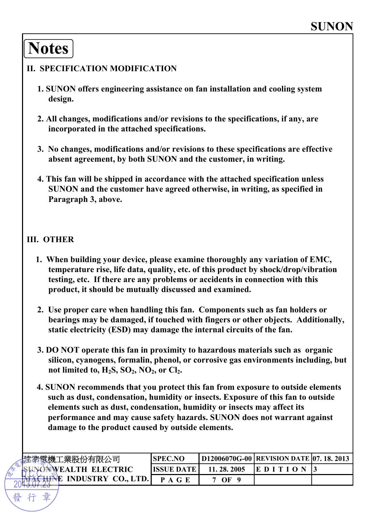# **Notes**

#### **II. SPECIFICATION MODIFICATION**

- **1. SUNON offers engineering assistance on fan installation and cooling system design.**
- **2. All changes, modifications and/or revisions to the specifications, if any, are incorporated in the attached specifications.**
- **3. No changes, modifications and/or revisions to these specifications are effective absent agreement, by both SUNON and the customer, in writing.**
- **4. This fan will be shipped in accordance with the attached specification unless SUNON and the customer have agreed otherwise, in writing, as specified in Paragraph 3, above.**

#### **III. OTHER**

- **1. When building your device, please examine thoroughly any variation of EMC, temperature rise, life data, quality, etc. of this product by shock/drop/vibration testing, etc. If there are any problems or accidents in connection with this product, it should be mutually discussed and examined.**
- **2. Use proper care when handling this fan. Components such as fan holders or bearings may be damaged, if touched with fingers or other objects. Additionally, static electricity (ESD) may damage the internal circuits of the fan.**
- **3. DO NOT operate this fan in proximity to hazardous materials such as organic silicon, cyanogens, formalin, phenol, or corrosive gas environments including, but**  not limited to,  $H_2S$ ,  $SO_2$ ,  $NO_2$ , or  $Cl_2$ .
- **4. SUNON recommends that you protect this fan from exposure to outside elements such as dust, condensation, humidity or insects. Exposure of this fan to outside elements such as dust, condensation, humidity or insects may affect its performance and may cause safety hazards. SUNON does not warrant against damage to the product caused by outside elements.**

| 蜜機工業股份有限公司                   | <b>SPEC.NO</b> |              | <b>D12006070G-00 REVISION DATE 07. 18. 2013</b> |  |
|------------------------------|----------------|--------------|-------------------------------------------------|--|
| <b>ISUNONWEALTH ELECTRIC</b> | IISSUE DATE    | 11, 28, 2005 | <b>IEDIT</b>                                    |  |
| <b>INDUSTRY CO., LTD.</b>    | <b>PAGE</b>    | OF 9         |                                                 |  |
|                              |                |              |                                                 |  |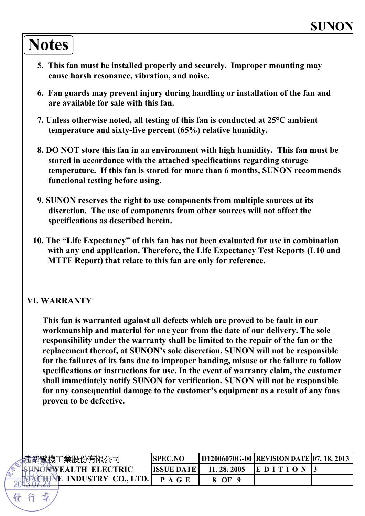# **Notes**

- **5. This fan must be installed properly and securely. Improper mounting may cause harsh resonance, vibration, and noise.**
- **6. Fan guards may prevent injury during handling or installation of the fan and are available for sale with this fan.**
- **7. Unless otherwise noted, all testing of this fan is conducted at 25°C ambient temperature and sixty-five percent (65%) relative humidity.**
- **8. DO NOT store this fan in an environment with high humidity. This fan must be stored in accordance with the attached specifications regarding storage temperature. If this fan is stored for more than 6 months, SUNON recommends functional testing before using.**
- **9. SUNON reserves the right to use components from multiple sources at its discretion. The use of components from other sources will not affect the specifications as described herein.**
- **10. The "Life Expectancy" of this fan has not been evaluated for use in combination with any end application. Therefore, the Life Expectancy Test Reports (L10 and MTTF Report) that relate to this fan are only for reference.**

#### **VI. WARRANTY**

**This fan is warranted against all defects which are proved to be fault in our workmanship and material for one year from the date of our delivery. The sole responsibility under the warranty shall be limited to the repair of the fan or the replacement thereof, at SUNON's sole discretion. SUNON will not be responsible for the failures of its fans due to improper handing, misuse or the failure to follow specifications or instructions for use. In the event of warranty claim, the customer shall immediately notify SUNON for verification. SUNON will not be responsible for any consequential damage to the customer's equipment as a result of any fans proven to be defective.**

| <sup>"</sup> "'靄機工業股份有限公司            | 'SPEC.NO           |            | D12006070G-00 REVISION DATE 07, 18, 2013 |  |
|--------------------------------------|--------------------|------------|------------------------------------------|--|
| <b>ISUNONWEALTH ELECTRIC</b>         | <b>IISSUE DATE</b> | 11.28.2005 | IE D I                                   |  |
| <del>ëhin</del> e industry co., ltd. | P A G E            | $\Omega$   |                                          |  |